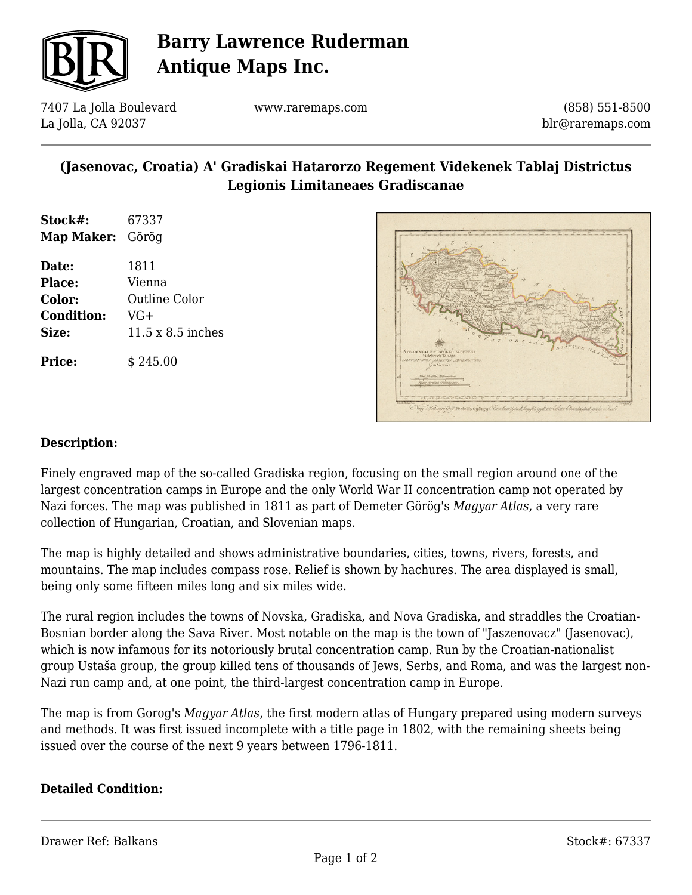

# **Barry Lawrence Ruderman Antique Maps Inc.**

7407 La Jolla Boulevard La Jolla, CA 92037

www.raremaps.com

(858) 551-8500 blr@raremaps.com

### **(Jasenovac, Croatia) A' Gradiskai Hatarorzo Regement Videkenek Tablaj Districtus Legionis Limitaneaes Gradiscanae**

| Stock#:          | 67337 |
|------------------|-------|
| Map Maker: Görög |       |
|                  |       |

**Date:** 1811 **Place:** Vienna **Color:** Outline Color **Condition:** VG+ **Size:** 11.5 x 8.5 inches

**Price:**  $\qquad$  \$ 245.00



#### **Description:**

Finely engraved map of the so-called Gradiska region, focusing on the small region around one of the largest concentration camps in Europe and the only World War II concentration camp not operated by Nazi forces. The map was published in 1811 as part of Demeter Görög's *Magyar Atlas*, a very rare collection of Hungarian, Croatian, and Slovenian maps.

The map is highly detailed and shows administrative boundaries, cities, towns, rivers, forests, and mountains. The map includes compass rose. Relief is shown by hachures. The area displayed is small, being only some fifteen miles long and six miles wide.

The rural region includes the towns of Novska, Gradiska, and Nova Gradiska, and straddles the Croatian-Bosnian border along the Sava River. Most notable on the map is the town of "Jaszenovacz" (Jasenovac), which is now infamous for its notoriously brutal concentration camp. Run by the Croatian-nationalist group Ustaša group, the group killed tens of thousands of Jews, Serbs, and Roma, and was the largest non-Nazi run camp and, at one point, the third-largest concentration camp in Europe.

The map is from Gorog's *Magyar Atlas*, the first modern atlas of Hungary prepared using modern surveys and methods. It was first issued incomplete with a title page in 1802, with the remaining sheets being issued over the course of the next 9 years between 1796-1811.

#### **Detailed Condition:**